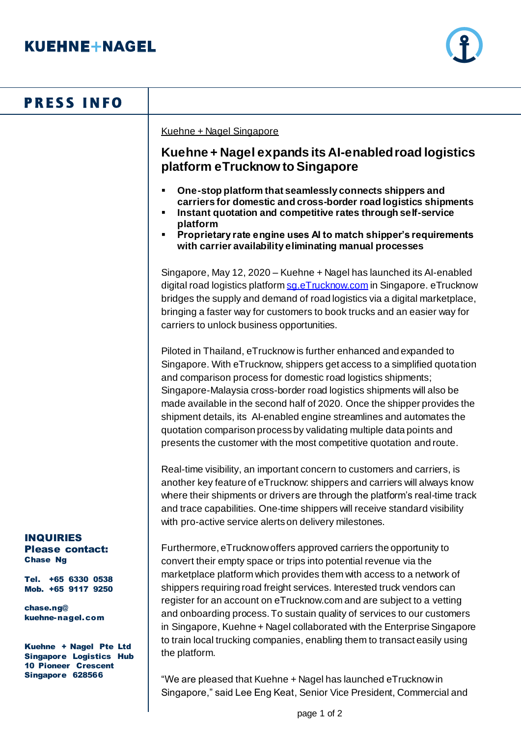

## **PRESS INFO**

Kuehne + Nagel Singapore

## **Kuehne + Nagel expands its AI-enabled road logistics platform eTrucknow to Singapore**

- **One-stop platform that seamlessly connects shippers and carriers for domestic and cross-border road logistics shipments**
- **Instant quotation and competitive rates through self-service platform**
- **Proprietary rate engine uses AI to match shipper's requirements with carrier availability eliminating manual processes**

Singapore, May 12, 2020 – Kuehne + Nagel has launched its AI-enabled digital road logistics platform sq.eTrucknow.com in Singapore. eTrucknow bridges the supply and demand of road logistics via a digital marketplace, bringing a faster way for customers to book trucks and an easier way for carriers to unlock business opportunities.

Piloted in Thailand, eTrucknow is further enhanced and expanded to Singapore. With eTrucknow, shippers get access to a simplified quotation and comparison process for domestic road logistics shipments; Singapore-Malaysia cross-border road logistics shipments will also be made available in the second half of 2020. Once the shipper provides the shipment details, its AI-enabled engine streamlines and automates the quotation comparison process by validating multiple data points and presents the customer with the most competitive quotation and route.

Real-time visibility, an important concern to customers and carriers, is another key feature of eTrucknow: shippers and carriers will always know where their shipments or drivers are through the platform's real-time track and trace capabilities. One-time shippers will receive standard visibility with pro-active service alerts on delivery milestones.

Furthermore, eTrucknow offers approved carriers the opportunity to convert their empty space or trips into potential revenue via the marketplace platform which provides them with access to a network of shippers requiring road freight services. Interested truck vendors can register for an account on eTrucknow.com and are subject to a vetting and onboarding process. To sustain quality of services to our customers in Singapore, Kuehne + Nagel collaborated with the Enterprise Singapore to train local trucking companies, enabling them to transact easily using the platform.

"We are pleased that Kuehne + Nagel has launched eTrucknow in Singapore," said Lee Eng Keat, Senior Vice President, Commercial and

## INQUIRIES Please contact:

Chase Ng

Tel. +65 6330 0538 Mob. +65 9117 9250

chase.ng@ kuehne-nagel.com

Kuehne + Nagel Pte Ltd Singapore Logistics Hub 10 Pioneer Crescent Singapore 628566